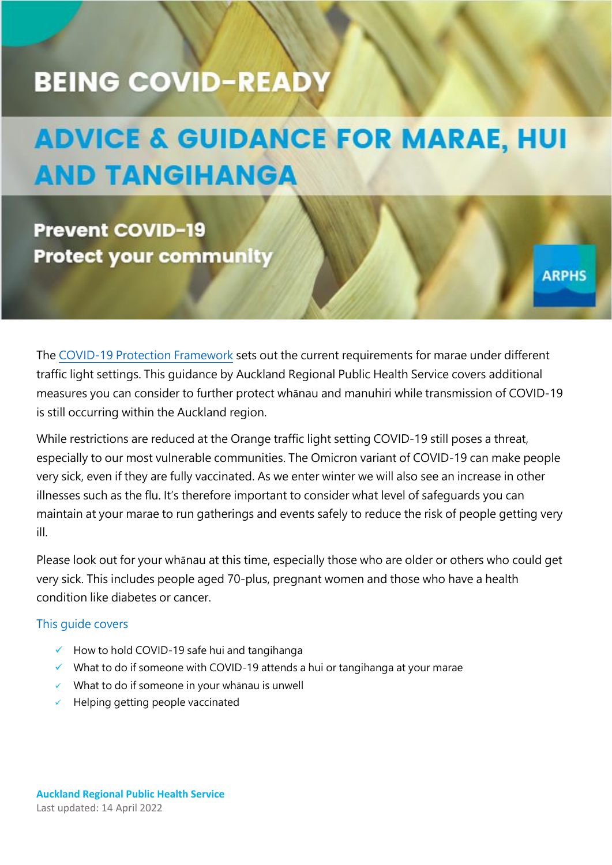# **BEING COVID-READY**

# **ADVICE & GUIDANCE FOR MARAE, HUI AND TANGIHANGA**

**Prevent COVID-19 Protect your community** 

The [COVID-19 Protection Framework](https://covid19.govt.nz/traffic-lights/life-at-red/gatherings-and-visits-at-red/marae-at-red/) sets out the current requirements for marae under different traffic light settings. This guidance by Auckland Regional Public Health Service covers additional measures you can consider to further protect whānau and manuhiri while transmission of COVID-19 is still occurring within the Auckland region.

**ARPHS** 

While restrictions are reduced at the Orange traffic light setting COVID-19 still poses a threat, especially to our most vulnerable communities. The Omicron variant of COVID-19 can make people very sick, even if they are fully vaccinated. As we enter winter we will also see an increase in other illnesses such as the flu. It's therefore important to consider what level of safeguards you can maintain at your marae to run gatherings and events safely to reduce the risk of people getting very ill.

Please look out for your whānau at this time, especially those who are older or others who could get very sick. This includes people aged 70-plus, pregnant women and those who have a health condition like diabetes or cancer.

#### This guide covers

- $\checkmark$  How to hold COVID-19 safe hui and tangihanga
- $\checkmark$  What to do if someone with COVID-19 attends a hui or tangihanga at your marae
- $\checkmark$  What to do if someone in your whanau is unwell
- $\checkmark$  Helping getting people vaccinated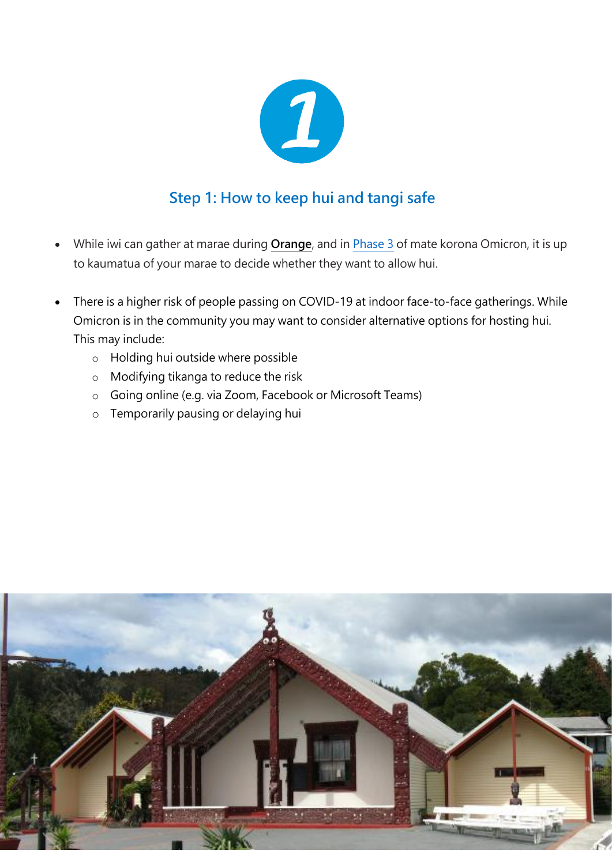

# **Step 1: How to keep hui and tangi safe**

- While iwi can gather at marae during **[Orange](https://covid19.govt.nz/traffic-lights/life-at-orange/gatherings-and-visits-at-orange/)**, and in [Phase 3](https://covid19.govt.nz/prepare-and-stay-safe/about-covid-19/our-response-to-omicron/#about-phase-3) of mate korona Omicron, it is up to kaumatua of your marae to decide whether they want to allow hui.
- There is a higher risk of people passing on COVID-19 at indoor face-to-face gatherings. While Omicron is in the community you may want to consider alternative options for hosting hui. This may include:
	- o Holding hui outside where possible
	- o Modifying tikanga to reduce the risk
	- o Going online (e.g. via Zoom, Facebook or Microsoft Teams)
	- o Temporarily pausing or delaying hui

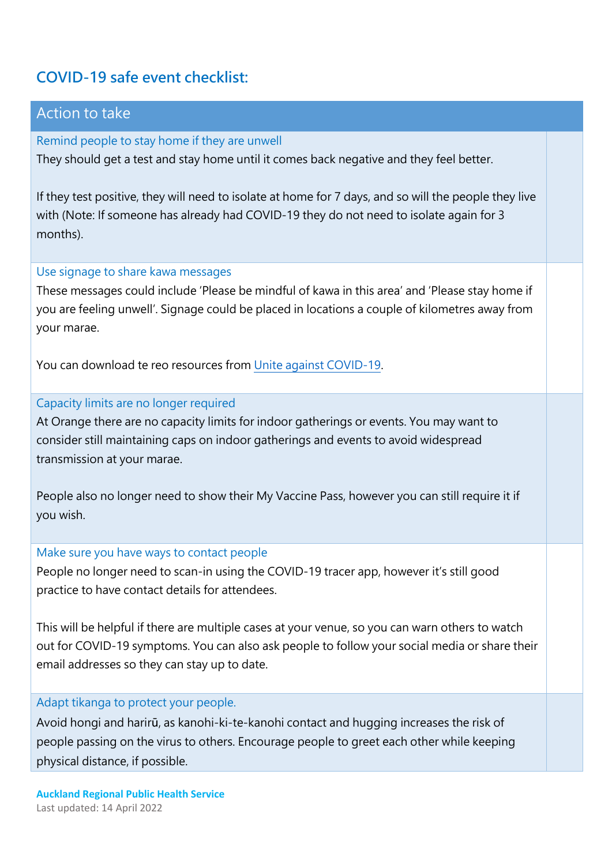# **COVID-19 safe event checklist:**

## Action to take

Remind people to stay home if they are unwell They should get a test and stay home until it comes back negative and they feel better.

If they test positive, they will need to isolate at home for 7 days, and so will the people they live with (Note: If someone has already had COVID-19 they do not need to isolate again for 3 months).

#### Use signage to share kawa messages

These messages could include 'Please be mindful of kawa in this area' and 'Please stay home if you are feeling unwell'. Signage could be placed in locations a couple of kilometres away from your marae.

You can download te reo resources from [Unite against COVID-19.](https://covid19.govt.nz/languages-and-resources/translations/te-reo-maori/)

#### Capacity limits are no longer required

At Orange there are no capacity limits for indoor gatherings or events. You may want to consider still maintaining caps on indoor gatherings and events to avoid widespread transmission at your marae.

People also no longer need to show their My Vaccine Pass, however you can still require it if you wish.

#### Make sure you have ways to contact people

People no longer need to scan-in using the COVID-19 tracer app, however it's still good practice to have contact details for attendees.

This will be helpful if there are multiple cases at your venue, so you can warn others to watch out for COVID-19 symptoms. You can also ask people to follow your social media or share their email addresses so they can stay up to date.

#### Adapt tikanga to protect your people.

Avoid hongi and harirū, as kanohi-ki-te-kanohi contact and hugging increases the risk of people passing on the virus to others. Encourage people to greet each other while keeping physical distance, if possible.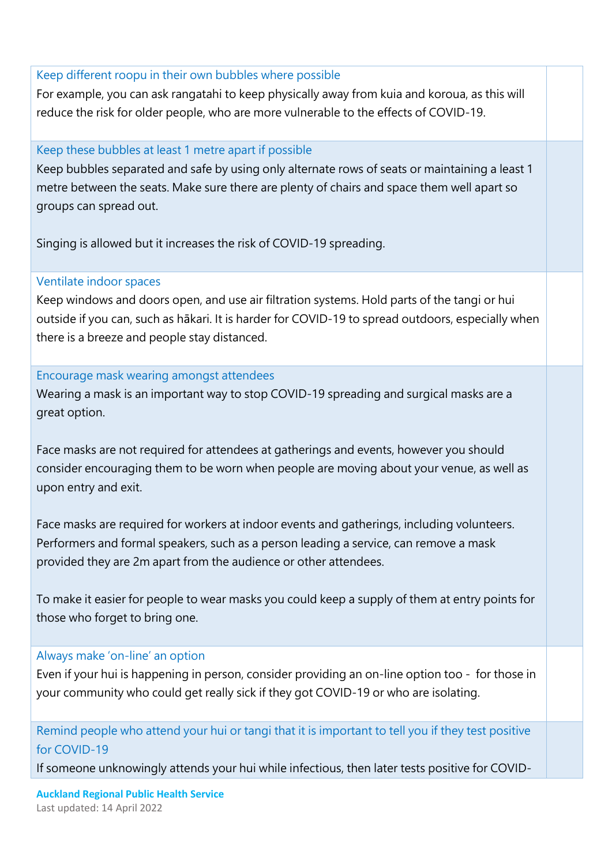#### Keep different roopu in their own bubbles where possible

For example, you can ask rangatahi to keep physically away from kuia and koroua, as this will reduce the risk for older people, who are more vulnerable to the effects of COVID-19.

#### Keep these bubbles at least 1 metre apart if possible

Keep bubbles separated and safe by using only alternate rows of seats or maintaining a least 1 metre between the seats. Make sure there are plenty of chairs and space them well apart so groups can spread out.

Singing is allowed but it increases the risk of COVID-19 spreading.

#### Ventilate indoor spaces

Keep windows and doors open, and use air filtration systems. Hold parts of the tangi or hui outside if you can, such as hākari. It is harder for COVID-19 to spread outdoors, especially when there is a breeze and people stay distanced.

Encourage mask wearing amongst attendees

Wearing a mask is an important way to stop COVID-19 spreading and surgical masks are a great option.

Face masks are not required for attendees at gatherings and events, however you should consider encouraging them to be worn when people are moving about your venue, as well as upon entry and exit.

Face masks are required for workers at indoor events and gatherings, including volunteers. Performers and formal speakers, such as a person leading a service, can remove a mask provided they are 2m apart from the audience or other attendees.

To make it easier for people to wear masks you could keep a supply of them at entry points for those who forget to bring one.

#### Always make 'on-line' an option

Even if your hui is happening in person, consider providing an on-line option too - for those in your community who could get really sick if they got COVID-19 or who are isolating.

Remind people who attend your hui or tangi that it is important to tell you if they test positive for COVID-19

If someone unknowingly attends your hui while infectious, then later tests positive for COVID-

**Auckland Regional Public Health Service**  Last updated: 14 April 2022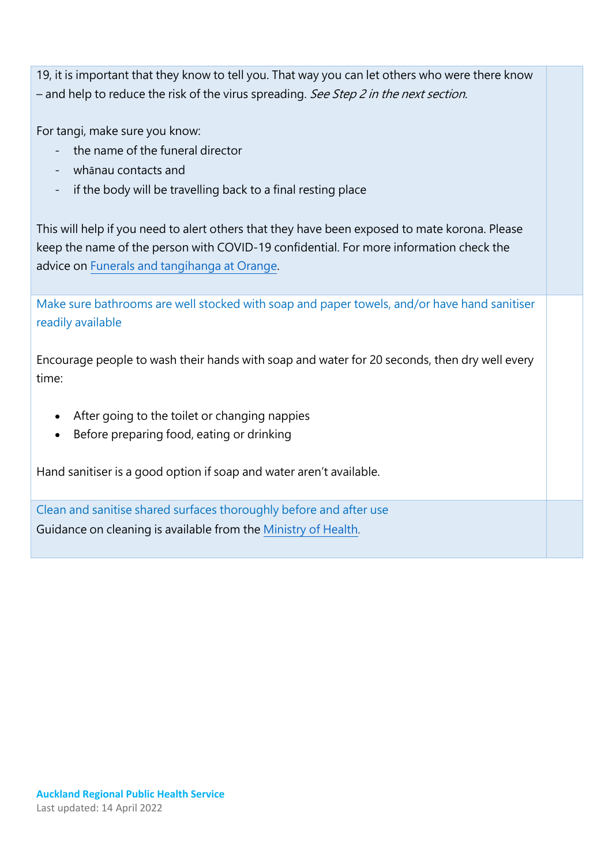19, it is important that they know to tell you. That way you can let others who were there know – and help to reduce the risk of the virus spreading. See Step 2 in the next section.

For tangi, make sure you know:

- the name of the funeral director
- whānau contacts and
- if the body will be travelling back to a final resting place

This will help if you need to alert others that they have been exposed to mate korona. Please keep the name of the person with COVID-19 confidential. For more information check the advice o[n Funerals and tangihanga at Orange.](https://covid19.govt.nz/traffic-lights/life-at-orange/gatherings-and-visits-at-orange/)

Make sure bathrooms are well stocked with soap and paper towels, and/or have hand sanitiser readily available

Encourage people to wash their hands with soap and water for 20 seconds, then dry well every time:

- After going to the toilet or changing nappies
- Before preparing food, eating or drinking

Hand sanitiser is a good option if soap and water aren't available.

Clean and sanitise shared surfaces thoroughly before and after use Guidance on cleaning is available from the [Ministry of Health](https://www.health.govt.nz/covid-19-novel-coronavirus/covid-19-information-specific-audiences/covid-19-general-cleaning-and-disinfection-advice).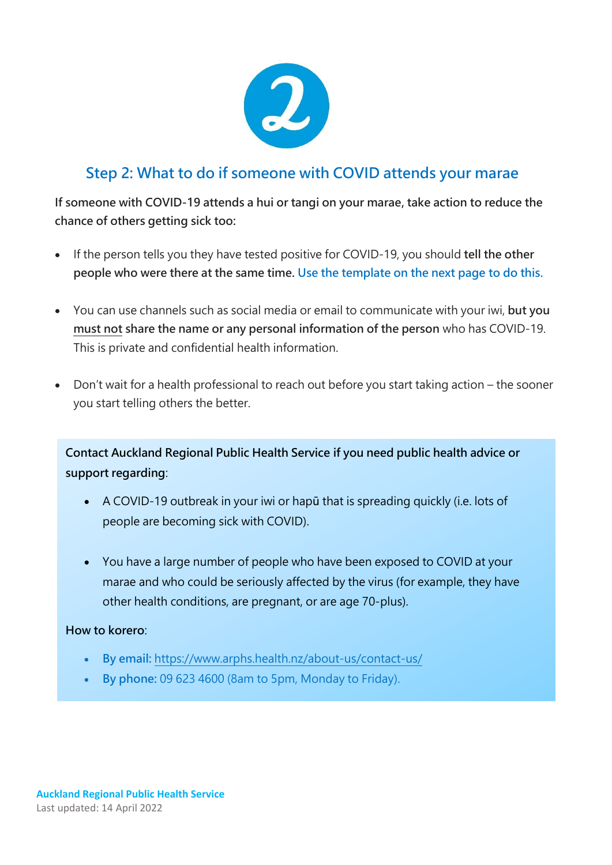

# **Step 2: What to do if someone with COVID attends your marae**

**If someone with COVID-19 attends a hui or tangi on your marae, take action to reduce the chance of others getting sick too:** 

- If the person tells you they have tested positive for COVID-19, you should **tell the other people who were there at the same time. Use the template on the next page to do this.**
- You can use channels such as social media or email to communicate with your iwi, **but you must not share the name or any personal information of the person** who has COVID-19. This is private and confidential health information.
- Don't wait for a health professional to reach out before you start taking action the sooner you start telling others the better.

**Contact Auckland Regional Public Health Service if you need public health advice or support regarding**:

- A COVID-19 outbreak in your iwi or hapū that is spreading quickly (i.e. lots of people are becoming sick with COVID).
- You have a large number of people who have been exposed to COVID at your marae and who could be seriously affected by the virus (for example, they have other health conditions, are pregnant, or are age 70-plus).

#### **How to korero**:

- **By email:** <https://www.arphs.health.nz/about-us/contact-us/>
- **By phone:** 09 623 4600 (8am to 5pm, Monday to Friday).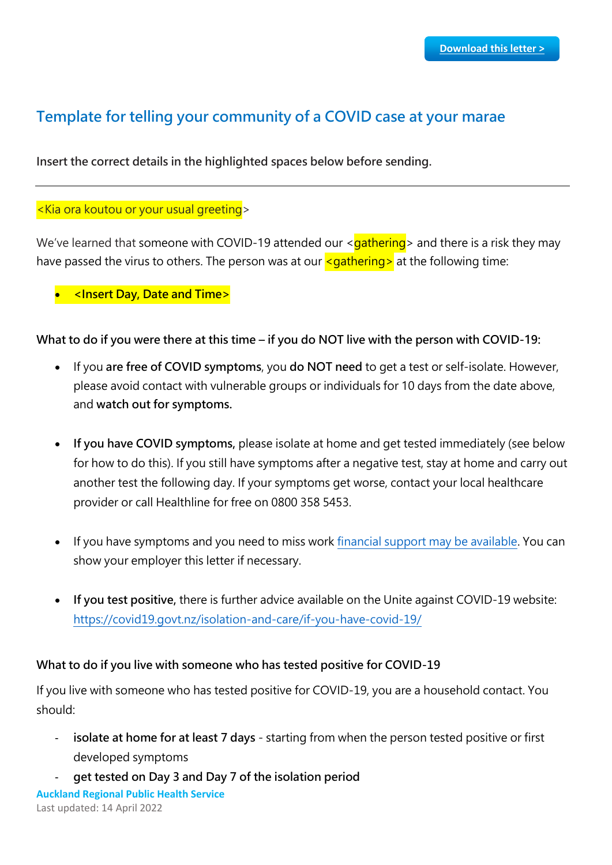# **Template for telling your community of a COVID case at your marae**

**Insert the correct details in the highlighted spaces below before sending.**

#### <Kia ora koutou or your usual greeting>

We've learned that someone with COVID-19 attended our  $\langle$  gathering  $\rangle$  and there is a risk they may have passed the virus to others. The person was at our  $\leq$  gathering at the following time:

**<Insert Day, Date and Time>**

**What to do if you were there at this time – if you do NOT live with the person with COVID-19:** 

- If you **are free of COVID symptoms**, you **do NOT need** to get a test or self-isolate. However, please avoid contact with vulnerable groups or individuals for 10 days from the date above, and **watch out for symptoms.**
- **If you have COVID symptoms,** please isolate at home and get tested immediately (see below for how to do this). If you still have symptoms after a negative test, stay at home and carry out another test the following day. If your symptoms get worse, contact your local healthcare provider or call Healthline for free on 0800 358 5453.
- If you have symptoms and you need to miss work [financial support may be available.](https://covid19.govt.nz/isolation-and-care/financial-support/) You can show your employer this letter if necessary.
- **If you test positive,** there is further advice available on the Unite against COVID-19 website: <https://covid19.govt.nz/isolation-and-care/if-you-have-covid-19/>

#### **What to do if you live with someone who has tested positive for COVID-19**

If you live with someone who has tested positive for COVID-19, you are a household contact. You should:

- **isolate at home for at least 7 days**  starting from when the person tested positive or first developed symptoms
- **get tested on Day 3 and Day 7 of the isolation period**

**Auckland Regional Public Health Service**  Last updated: 14 April 2022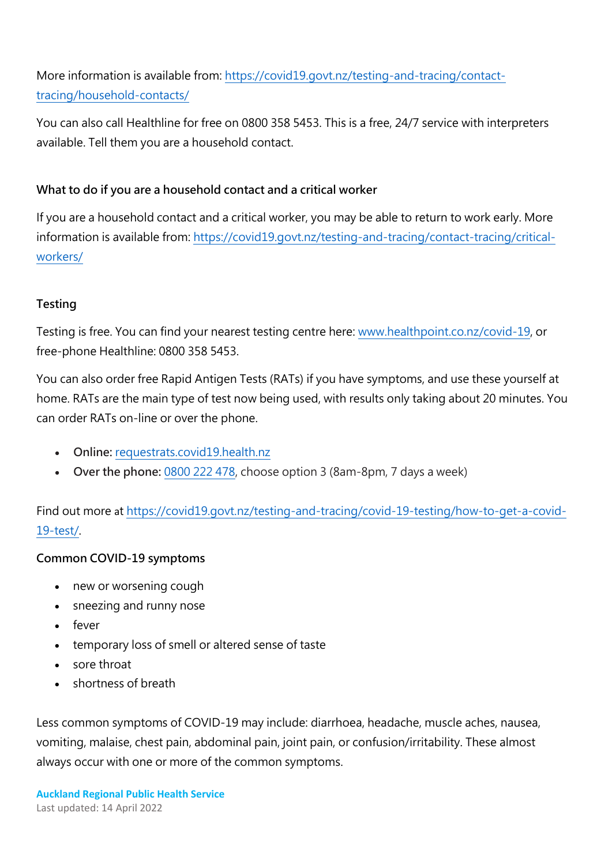More information is available from: [https://covid19.govt.nz/testing-and-tracing/contact](https://covid19.govt.nz/testing-and-tracing/contact-tracing/household-contacts/)[tracing/household-contacts/](https://covid19.govt.nz/testing-and-tracing/contact-tracing/household-contacts/)

You can also call Healthline for free on [0800 358 5453.](https://www.healthy.org.nz/) This is a free, 24/7 service with interpreters available. Tell them you are a household contact.

## **What to do if you are a household contact and a critical worker**

If you are a household contact and a critical worker, you may be able to return to work early. More information is available from: [https://covid19.govt.nz/testing-and-tracing/contact-tracing/critical](https://covid19.govt.nz/testing-and-tracing/contact-tracing/critical-workers/)[workers/](https://covid19.govt.nz/testing-and-tracing/contact-tracing/critical-workers/)

## **Testing**

Testing is free. You can find your nearest testing centre here: [www.healthpoint.co.nz/covid-19,](http://www.healthpoint.co.nz/covid-19) or free-phone Healthline: 0800 358 5453.

You can also order free Rapid Antigen Tests (RATs) if you have symptoms, and use these yourself at home. RATs are the main type of test now being used, with results only taking about 20 minutes. You can order RATs on-line or over the phone.

- **Online:** [requestrats.covid19.health.nz](https://requestrats.covid19.health.nz/?_ga=2.40362082.1766818427.1646184998-252780460.1631150959&_gac=1.216737442.1644796037.EAIaIQobChMI8bvf1e799QIV_pNmAh11kQpLEAAYASAAEgK8QvD_BwE)
- **Over the phone:** [0800 222 478,](tel:0800222478) choose option 3 (8am-8pm, 7 days a week)

Find out more at [https://covid19.govt.nz/testing-and-tracing/covid-19-testing/how-to-get-a-covid-](https://covid19.govt.nz/testing-and-tracing/covid-19-testing/how-to-get-a-covid-19-test/)[19-test/.](https://covid19.govt.nz/testing-and-tracing/covid-19-testing/how-to-get-a-covid-19-test/)

## **Common COVID-19 symptoms**

- new or worsening cough
- sneezing and runny nose
- fever
- temporary loss of smell or altered sense of taste
- sore throat
- shortness of breath

Less common symptoms of COVID-19 may include: diarrhoea, headache, muscle aches, nausea, vomiting, malaise, chest pain, abdominal pain, joint pain, or confusion/irritability. These almost always occur with one or more of the common symptoms.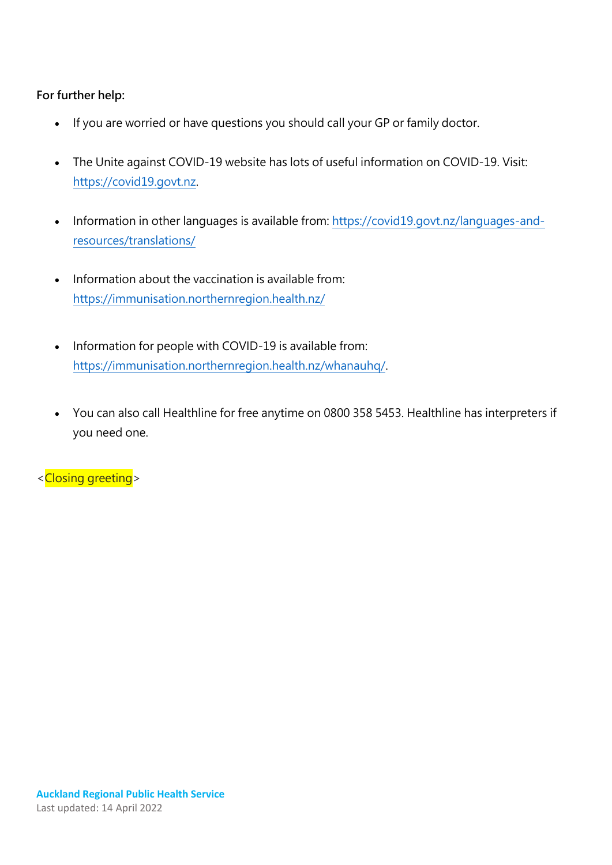#### **For further help:**

- If you are worried or have questions you should call your GP or family doctor.
- The Unite against COVID-19 website has lots of useful information on COVID-19. Visit: [https://covid19.govt.nz.](https://covid19.govt.nz/)
- Information in other languages is available from: [https://covid19.govt.nz/languages-and](https://covid19.govt.nz/languages-and-resources/translations/)[resources/translations/](https://covid19.govt.nz/languages-and-resources/translations/)
- Information about the vaccination is available from: <https://immunisation.northernregion.health.nz/>
- Information for people with COVID-19 is available from: [https://immunisation.northernregion.health.nz/whanauhq/.](https://immunisation.northernregion.health.nz/whanauhq/)
- You can also call Healthline for free anytime on 0800 358 5453. Healthline has interpreters if you need one.

<Closing greeting>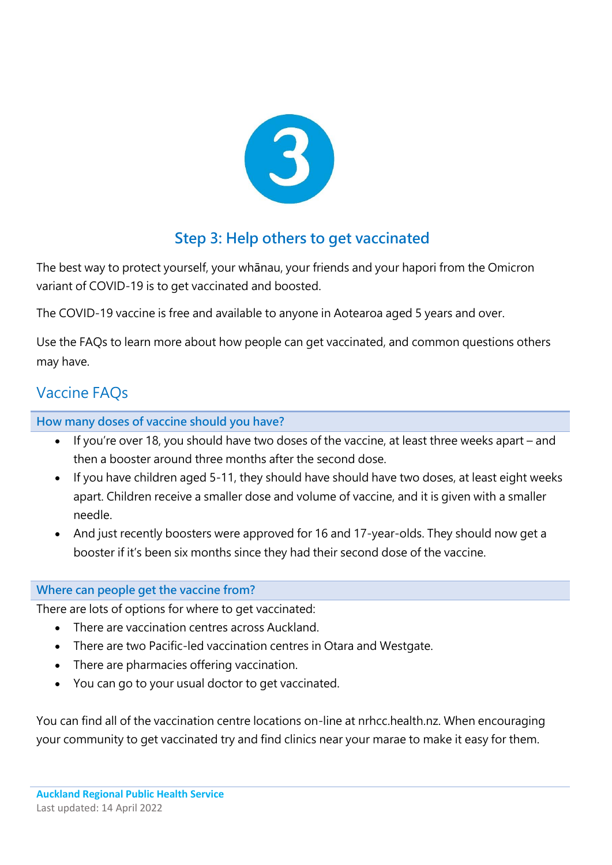

# **Step 3: Help others to get vaccinated**

The best way to protect yourself, your whānau, your friends and your hapori from the Omicron variant of COVID-19 is to get vaccinated and boosted.

The COVID-19 vaccine is free and available to anyone in Aotearoa aged 5 years and over.

Use the FAQs to learn more about how people can get vaccinated, and common questions others may have.

# Vaccine FAQs

**How many doses of vaccine should you have?**

- If you're over 18, you should have two doses of the vaccine, at least three weeks apart and then a booster around three months after the second dose.
- If you have children aged 5-11, they should have should have two doses, at least eight weeks apart. Children receive a smaller dose and volume of vaccine, and it is given with a smaller needle.
- And just recently boosters were approved for 16 and 17-year-olds. They should now get a booster if it's been six months since they had their second dose of the vaccine.

# **Where can people get the vaccine from?**

There are lots of options for where to get vaccinated:

- There are vaccination centres across Auckland.
- There are two Pacific-led vaccination centres in Otara and Westgate.
- There are pharmacies offering vaccination.
- You can go to your usual doctor to get vaccinated.

You can find all of the vaccination centre locations on-line at nrhcc.health.nz. When encouraging your community to get vaccinated try and find clinics near your marae to make it easy for them.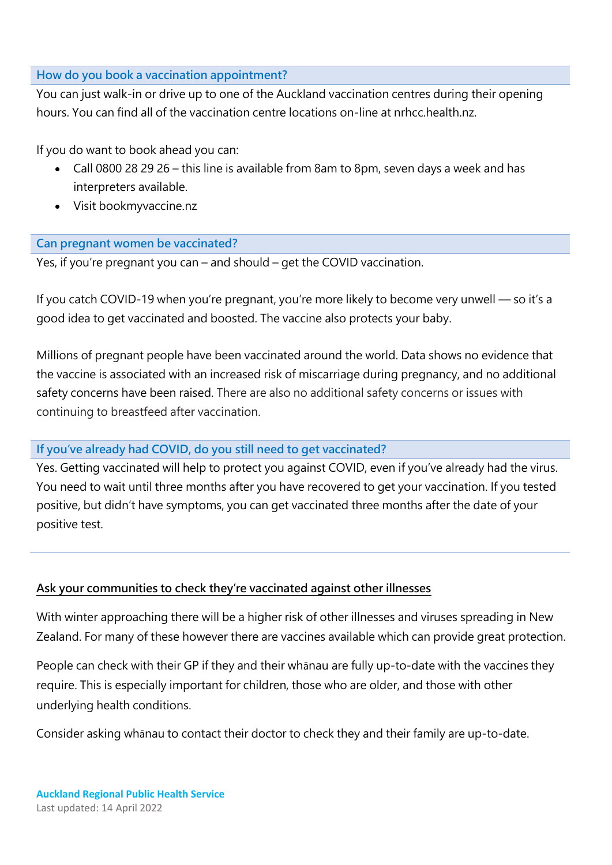#### **How do you book a vaccination appointment?**

You can just walk-in or drive up to one of the Auckland vaccination centres during their opening hours. You can find all of the vaccination centre locations on-line at nrhcc.health.nz.

If you do want to book ahead you can:

- Call 0800 28 29 26 this line is available from 8am to 8pm, seven days a week and has interpreters available.
- Visit bookmyvaccine.nz

### **Can pregnant women be vaccinated?**

Yes, if you're pregnant you can – and should – get the COVID vaccination.

If you catch COVID-19 when you're pregnant, you're more likely to become very unwell — so it's a good idea to get vaccinated and boosted. The vaccine also protects your baby.

Millions of pregnant people have been vaccinated around the world. Data shows no evidence that the vaccine is associated with an increased risk of miscarriage during pregnancy, and no additional safety concerns have been raised. There are also no additional safety concerns or issues with continuing to breastfeed after vaccination.

## **If you've already had COVID, do you still need to get vaccinated?**

Yes. Getting vaccinated will help to protect you against COVID, even if you've already had the virus. You need to wait until three months after you have recovered to get your vaccination. If you tested positive, but didn't have symptoms, you can get vaccinated three months after the date of your positive test.

## **Ask your communities to check they're vaccinated against other illnesses**

With winter approaching there will be a higher risk of other illnesses and viruses spreading in New Zealand. For many of these however there are vaccines available which can provide great protection.

People can check with their GP if they and their whānau are fully up-to-date with the vaccines they require. This is especially important for children, those who are older, and those with other underlying health conditions.

Consider asking whānau to contact their doctor to check they and their family are up-to-date.